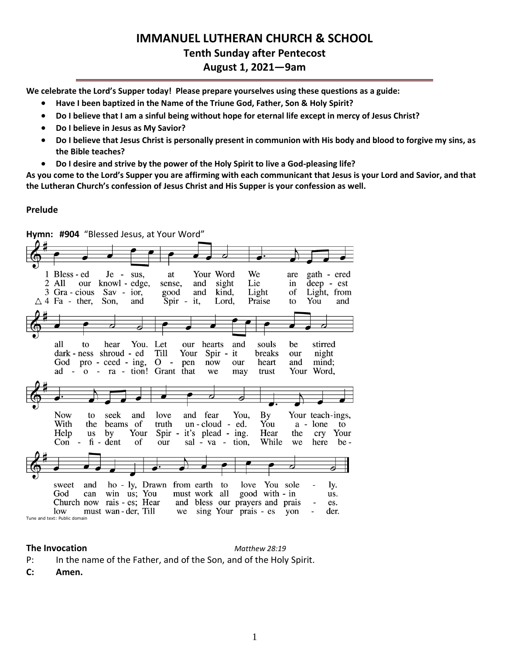# **IMMANUEL LUTHERAN CHURCH & SCHOOL Tenth Sunday after Pentecost August 1, 2021—9am**

**We celebrate the Lord's Supper today! Please prepare yourselves using these questions as a guide:**

- **Have I been baptized in the Name of the Triune God, Father, Son & Holy Spirit?**
- **Do I believe that I am a sinful being without hope for eternal life except in mercy of Jesus Christ?**
- **Do I believe in Jesus as My Savior?**
- **Do I believe that Jesus Christ is personally present in communion with His body and blood to forgive my sins, as the Bible teaches?**
- **Do I desire and strive by the power of the Holy Spirit to live a God-pleasing life?**

**As you come to the Lord's Supper you are affirming with each communicant that Jesus is your Lord and Savior, and that the Lutheran Church's confession of Jesus Christ and His Supper is your confession as well.**

#### **Prelude**

| Hymn: #904 "Blessed Jesus, at Your Word"                                                                                                                                                                                                                                                                                                                                                            |  |  |  |  |  |  |  |  |
|-----------------------------------------------------------------------------------------------------------------------------------------------------------------------------------------------------------------------------------------------------------------------------------------------------------------------------------------------------------------------------------------------------|--|--|--|--|--|--|--|--|
|                                                                                                                                                                                                                                                                                                                                                                                                     |  |  |  |  |  |  |  |  |
|                                                                                                                                                                                                                                                                                                                                                                                                     |  |  |  |  |  |  |  |  |
| 1 Bless - ed<br>Your Word<br>We<br>gath - ered<br>$Je - sus$ .<br>at<br>are<br>Lie<br>deep - est<br>2 All<br>knowl - edge,<br>sight<br>and<br>in<br>our<br>sense,<br>Light<br>Light, from<br>3 Gra - cious<br>Sav - ior,<br>kind,<br>of<br>good<br>and<br>$Spir -$<br>$\triangle$ 4 Fa - ther,<br>Son,<br>and<br>it,<br>Lord,<br>You<br>and<br>Praise<br>to                                         |  |  |  |  |  |  |  |  |
|                                                                                                                                                                                                                                                                                                                                                                                                     |  |  |  |  |  |  |  |  |
| You. Let<br>all<br>stirred<br>hearts<br>and<br>souls<br>hear<br>our<br>be<br>to<br>Till<br>Your<br>dark - ness shroud - ed<br>Spir -<br>it<br>breaks<br>night<br>our<br>God pro - ceed - ing, O<br>heart<br>and<br>mind:<br>$\sim 10^{-10}$<br>pen<br>now<br>our<br>- ra - tion! Grant<br>Word,<br>that<br>Your<br>ad -<br>$\Omega$<br>we<br>trust<br>may                                           |  |  |  |  |  |  |  |  |
|                                                                                                                                                                                                                                                                                                                                                                                                     |  |  |  |  |  |  |  |  |
| <b>Now</b><br>$\mathbf{B} \mathbf{y}$<br>and fear<br>You,<br>Your teach-ings,<br>seek<br>and<br>love<br>to<br>With<br>of<br>truth<br>$un$ -cloud - ed.<br>You<br>a - lone<br>the<br>beams<br>to<br>Your<br>Spir -<br>it's plead - ing.<br>Hear<br>Help<br>the<br>Your<br>by<br><b>us</b><br>cry<br>$fi - dent$<br>sal - va - tion,<br>While<br>of<br>Con<br>$\sim$ $-$<br>our<br>be -<br>here<br>we |  |  |  |  |  |  |  |  |
|                                                                                                                                                                                                                                                                                                                                                                                                     |  |  |  |  |  |  |  |  |
| ho - ly, Drawn<br>from earth<br>love You sole<br>and<br>to<br>sweet<br>Iy.<br>must work all<br>win us; You<br>good with - in<br>God<br>can<br>us.<br>and bless our prayers and prais<br>rais - es; Hear<br>Church now<br>es.<br>must wan - der, Till<br>sing Your prais - es<br>low<br>yon<br>der.<br>we<br>Tune and text: Public domain                                                            |  |  |  |  |  |  |  |  |

#### **The Invocation** *Matthew 28:19*

P: In the name of the Father, and of the Son, and of the Holy Spirit.

**C: Amen.**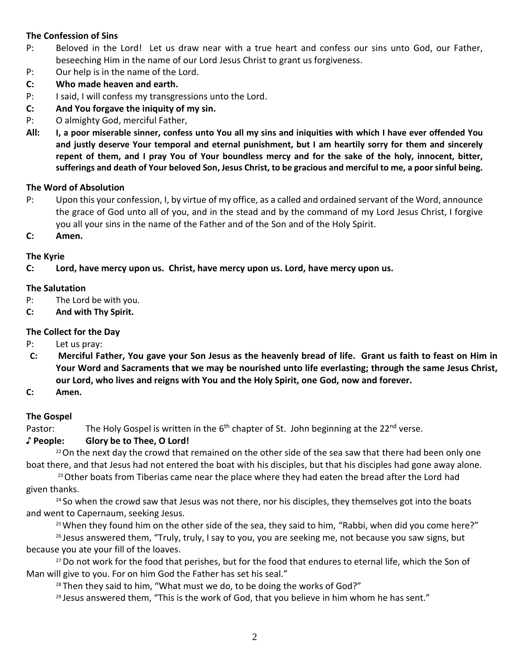# **The Confession of Sins**

- P: Beloved in the Lord! Let us draw near with a true heart and confess our sins unto God, our Father, beseeching Him in the name of our Lord Jesus Christ to grant us forgiveness.
- P: Our help is in the name of the Lord.
- **C: Who made heaven and earth.**
- P: I said, I will confess my transgressions unto the Lord.
- **C: And You forgave the iniquity of my sin.**
- P: O almighty God, merciful Father,
- **All: I, a poor miserable sinner, confess unto You all my sins and iniquities with which I have ever offended You and justly deserve Your temporal and eternal punishment, but I am heartily sorry for them and sincerely repent of them, and I pray You of Your boundless mercy and for the sake of the holy, innocent, bitter, sufferings and death of Your beloved Son, Jesus Christ, to be gracious and merciful to me, a poor sinful being.**

#### **The Word of Absolution**

- P: Upon this your confession, I, by virtue of my office, as a called and ordained servant of the Word, announce the grace of God unto all of you, and in the stead and by the command of my Lord Jesus Christ, I forgive you all your sins in the name of the Father and of the Son and of the Holy Spirit.
- **C: Amen.**

#### **The Kyrie**

**C: Lord, have mercy upon us. Christ, have mercy upon us. Lord, have mercy upon us.**

#### **The Salutation**

- P: The Lord be with you.
- **C: And with Thy Spirit.**

# **The Collect for the Day**

- P: Let us pray:
- **C: Merciful Father, You gave your Son Jesus as the heavenly bread of life. Grant us faith to feast on Him in Your Word and Sacraments that we may be nourished unto life everlasting; through the same Jesus Christ, our Lord, who lives and reigns with You and the Holy Spirit, one God, now and forever.**
- **C: Amen.**

# **The Gospel**

Pastor: The Holy Gospel is written in the 6<sup>th</sup> chapter of St. John beginning at the 22<sup>nd</sup> verse.

# **♪ People: Glory be to Thee, O Lord!**

 $22$ On the next day the crowd that remained on the other side of the sea saw that there had been only one boat there, and that Jesus had not entered the boat with his disciples, but that his disciples had gone away alone.

<sup>23</sup> Other boats from Tiberias came near the place where they had eaten the bread after the Lord had given thanks.

<sup>24</sup> So when the crowd saw that Jesus was not there, nor his disciples, they themselves got into the boats and went to Capernaum, seeking Jesus.

 $25$  When they found him on the other side of the sea, they said to him, "Rabbi, when did you come here?"

 $26$  Jesus answered them, "Truly, truly, I say to you, you are seeking me, not because you saw signs, but because you ate your fill of the loaves.

<sup>27</sup> Do not work for the food that perishes, but for the food that endures to eternal life, which the Son of Man will give to you. For on him God the Father has set his seal."

<sup>28</sup> Then they said to him, "What must we do, to be doing the works of God?"

 $29$  Jesus answered them, "This is the work of God, that you believe in him whom he has sent."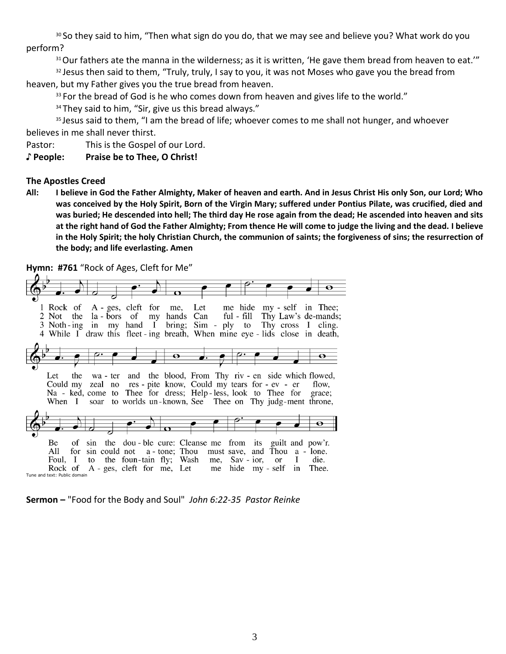<sup>30</sup> So they said to him, "Then what sign do you do, that we may see and believe you? What work do you perform?

<sup>31</sup> Our fathers ate the manna in the wilderness; as it is written, 'He gave them bread from heaven to eat.'"

<sup>32</sup> Jesus then said to them, "Truly, truly, I say to you, it was not Moses who gave you the bread from heaven, but my Father gives you the true bread from heaven.

 $33$  For the bread of God is he who comes down from heaven and gives life to the world."

<sup>34</sup> They said to him, "Sir, give us this bread always."

<sup>35</sup> Jesus said to them, "I am the bread of life; whoever comes to me shall not hunger, and whoever believes in me shall never thirst.

Pastor: This is the Gospel of our Lord.

**♪ People: Praise be to Thee, O Christ!**

#### **The Apostles Creed**

**All: I believe in God the Father Almighty, Maker of heaven and earth. And in Jesus Christ His only Son, our Lord; Who was conceived by the Holy Spirit, Born of the Virgin Mary; suffered under Pontius Pilate, was crucified, died and was buried; He descended into hell; The third day He rose again from the dead; He ascended into heaven and sits at the right hand of God the Father Almighty; From thence He will come to judge the living and the dead. I believe in the Holy Spirit; the holy Christian Church, the communion of saints; the forgiveness of sins; the resurrection of the body; and life everlasting. Amen**

**Hymn: #761** "Rock of Ages, Cleft for Me"

| 1 Rock of A - ges, cleft for me, Let me hide my - self in Thee;<br>2 Not the la-bors of my hands Can ful-fill Thy Law's de-mands;<br>3 Noth-ing in my hand I bring; Sim - ply to Thy cross I cling.<br>4 While I draw this fleet ing breath, When mine eye - lids close in death,            |                         |       |
|----------------------------------------------------------------------------------------------------------------------------------------------------------------------------------------------------------------------------------------------------------------------------------------------|-------------------------|-------|
| っ<br>$\mathbf{\Theta}$                                                                                                                                                                                                                                                                       |                         |       |
| wa - ter and the blood, From Thy riv - en side which flowed,<br>Let<br>the<br>Could my zeal no res - pite know, Could my tears for - ev - er<br>Na - ked, come to Thee for dress; Help-less, look to Thee for grace;<br>When I soar to worlds un-known, See Thee on Thy judg-ment throne,    |                         | flow. |
|                                                                                                                                                                                                                                                                                              |                         |       |
| of sin the dou-ble cure: Cleanse me from its guilt and pow'r.<br>Be.<br>sin could not a - tone; Thou must save, and Thou a - lone.<br>All<br>for<br>to the foun-tain fly; Wash me, Sav-ior, or I die.<br>Foul. I<br>Rock of $A - ges$ , cleft for me, Let me<br>Tune and text: Public domain | hide my - self in Thee. |       |

**Sermon –** "Food for the Body and Soul" *John 6:22-35 Pastor Reinke*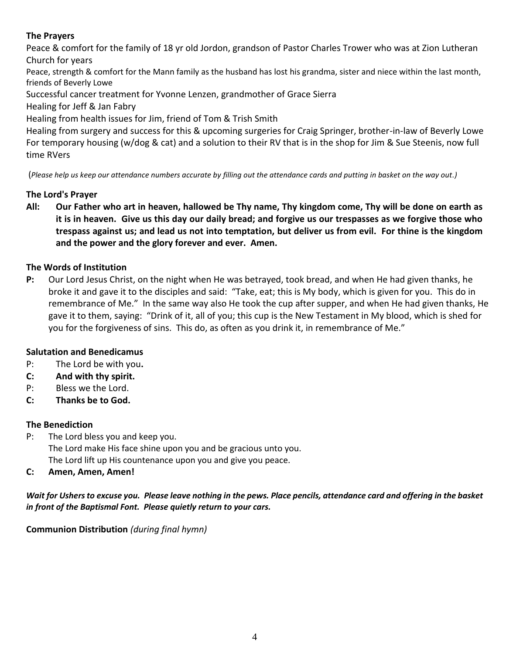# **The Prayers**

Peace & comfort for the family of 18 yr old Jordon, grandson of Pastor Charles Trower who was at Zion Lutheran Church for years

Peace, strength & comfort for the Mann family as the husband has lost his grandma, sister and niece within the last month, friends of Beverly Lowe

Successful cancer treatment for Yvonne Lenzen, grandmother of Grace Sierra

Healing for Jeff & Jan Fabry

Healing from health issues for Jim, friend of Tom & Trish Smith

Healing from surgery and success for this & upcoming surgeries for Craig Springer, brother-in-law of Beverly Lowe For temporary housing (w/dog & cat) and a solution to their RV that is in the shop for Jim & Sue Steenis, now full time RVers

(*Please help us keep our attendance numbers accurate by filling out the attendance cards and putting in basket on the way out.)*

# **The Lord's Prayer**

**All: Our Father who art in heaven, hallowed be Thy name, Thy kingdom come, Thy will be done on earth as it is in heaven. Give us this day our daily bread; and forgive us our trespasses as we forgive those who trespass against us; and lead us not into temptation, but deliver us from evil. For thine is the kingdom and the power and the glory forever and ever. Amen.**

# **The Words of Institution**

**P:** Our Lord Jesus Christ, on the night when He was betrayed, took bread, and when He had given thanks, he broke it and gave it to the disciples and said: "Take, eat; this is My body, which is given for you. This do in remembrance of Me." In the same way also He took the cup after supper, and when He had given thanks, He gave it to them, saying: "Drink of it, all of you; this cup is the New Testament in My blood, which is shed for you for the forgiveness of sins. This do, as often as you drink it, in remembrance of Me."

# **Salutation and Benedicamus**

- P: The Lord be with you**.**
- **C: And with thy spirit.**
- P: Bless we the Lord.
- **C: Thanks be to God.**

# **The Benediction**

- P: The Lord bless you and keep you. The Lord make His face shine upon you and be gracious unto you. The Lord lift up His countenance upon you and give you peace.
- **C: Amen, Amen, Amen!**

*Wait for Ushers to excuse you. Please leave nothing in the pews. Place pencils, attendance card and offering in the basket in front of the Baptismal Font. Please quietly return to your cars.* 

# **Communion Distribution** *(during final hymn)*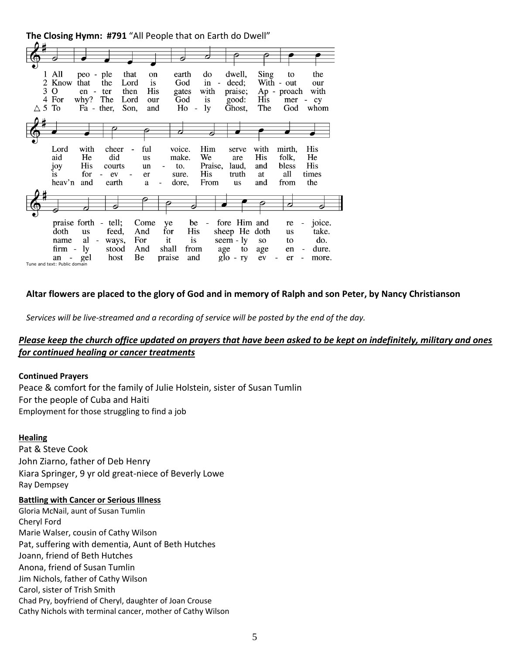|                  |                                |               |                                       |      |           | The Closing Hymn. #791 All reople that on Larth do Dwell |                                |                          |                          |                |      |             |                                        |
|------------------|--------------------------------|---------------|---------------------------------------|------|-----------|----------------------------------------------------------|--------------------------------|--------------------------|--------------------------|----------------|------|-------------|----------------------------------------|
|                  |                                |               |                                       |      |           |                                                          |                                |                          |                          |                |      |             |                                        |
|                  |                                |               |                                       |      |           |                                                          |                                |                          |                          |                |      |             |                                        |
|                  |                                |               |                                       |      |           |                                                          |                                |                          |                          |                |      |             |                                        |
|                  |                                |               |                                       |      |           |                                                          |                                |                          |                          |                |      |             |                                        |
| 1                | All                            | peo - ple     |                                       | that | on        |                                                          | earth                          | do                       |                          | dwell,         | Sing | to          | the                                    |
|                  | 2 Know                         | that          | the                                   | Lord | is        |                                                          | God                            | in                       | $\overline{\phantom{0}}$ | deed:          |      | With - out  | our                                    |
| 3                | $\mathbf O$                    | $en -$        | ter                                   | then | His       |                                                          | gates                          | with                     |                          | praise;        |      | Ap - proach | with                                   |
| 4                | For                            | why? The      |                                       | Lord | our       |                                                          | God                            | is                       |                          | good:          | His  | mer         | $\sim$<br>cy                           |
| $\triangle$ 5 To |                                | $Fa - ther$ , |                                       | Son, | and       |                                                          | Ho<br>$\overline{\phantom{m}}$ | ly                       |                          | Ghost,         | The  | God         | whom                                   |
|                  |                                |               |                                       |      |           |                                                          |                                |                          |                          |                |      |             |                                        |
|                  |                                |               |                                       |      |           |                                                          |                                |                          |                          |                |      |             |                                        |
|                  |                                |               |                                       |      |           |                                                          |                                |                          |                          |                |      |             |                                        |
|                  |                                |               |                                       |      |           | ᅎ                                                        |                                |                          |                          |                |      |             |                                        |
|                  |                                |               |                                       |      |           |                                                          |                                |                          |                          |                |      |             |                                        |
|                  | Lord                           | with          | cheer                                 |      | ful       | voice.                                                   |                                | Him                      |                          | serve          | with | mirth,      | His                                    |
|                  | aid                            | He            | did                                   |      | <b>us</b> | make.                                                    |                                | We                       |                          | are            | His  | folk,       | He                                     |
|                  | joy                            | His           | courts                                |      | un        | to.                                                      |                                | Praise.                  |                          | laud,          | and  | bless       | His                                    |
|                  | is.                            | for           | ev                                    |      | er        | sure.                                                    |                                | His                      |                          | truth          | at   | all         | times                                  |
|                  | heav'n                         | and           | earth                                 |      | a         | dore,                                                    |                                | From                     |                          | <b>us</b>      | and  | from        | the                                    |
|                  |                                |               |                                       |      |           |                                                          |                                |                          |                          |                |      |             |                                        |
|                  |                                |               |                                       |      |           |                                                          |                                |                          |                          |                |      |             |                                        |
|                  |                                |               |                                       |      |           |                                                          |                                |                          |                          |                |      | 7           |                                        |
|                  |                                |               |                                       |      |           |                                                          |                                |                          |                          |                |      |             |                                        |
|                  |                                |               |                                       |      |           |                                                          |                                |                          |                          |                |      |             |                                        |
|                  | praise forth                   |               | tell;<br>$\qquad \qquad \blacksquare$ |      | Come      | ye                                                       | be                             | $\overline{\phantom{0}}$ |                          | fore Him and   |      | re          | joice.<br>$\qquad \qquad \blacksquare$ |
|                  | doth                           | <b>us</b>     | feed,                                 |      | And       | for                                                      | His                            |                          |                          | sheep He doth  |      | <b>us</b>   | take.                                  |
|                  | name                           | al            | ways,<br>$\overline{\phantom{0}}$     |      | For       | it                                                       | is                             |                          |                          | seem - ly      | so   | to          | do.                                    |
|                  | firm -                         | <i>ly</i>     | stood                                 |      | And       | shall                                                    | from                           |                          | age                      | to             | age  | en          | dure.<br>$\qquad \qquad \blacksquare$  |
|                  | $\overline{\phantom{m}}$<br>an | gel           | host                                  | Вe   |           | praise                                                   | and                            |                          |                          | $g$ lo -<br>ry | ev   | er          | more.                                  |
|                  | Tune and text: Public domain   |               |                                       |      |           |                                                          |                                |                          |                          |                |      |             |                                        |

**The Closing Hymn: #791** "All People that on Earth do Dwell"

#### **Altar flowers are placed to the glory of God and in memory of Ralph and son Peter, by Nancy Christianson**

*Services will be live-streamed and a recording of service will be posted by the end of the day.*

# *Please keep the church office updated on prayers that have been asked to be kept on indefinitely, military and ones for continued healing or cancer treatments*

#### **Continued Prayers**

Peace & comfort for the family of Julie Holstein, sister of Susan Tumlin For the people of Cuba and Haiti Employment for those struggling to find a job

#### **Healing**

Pat & Steve Cook John Ziarno, father of Deb Henry Kiara Springer, 9 yr old great-niece of Beverly Lowe Ray Dempsey

#### **Battling with Cancer or Serious Illness**

Gloria McNail, aunt of Susan Tumlin Cheryl Ford Marie Walser, cousin of Cathy Wilson Pat, suffering with dementia, Aunt of Beth Hutches Joann, friend of Beth Hutches Anona, friend of Susan Tumlin Jim Nichols, father of Cathy Wilson Carol, sister of Trish Smith Chad Pry, boyfriend of Cheryl, daughter of Joan Crouse Cathy Nichols with terminal cancer, mother of Cathy Wilson